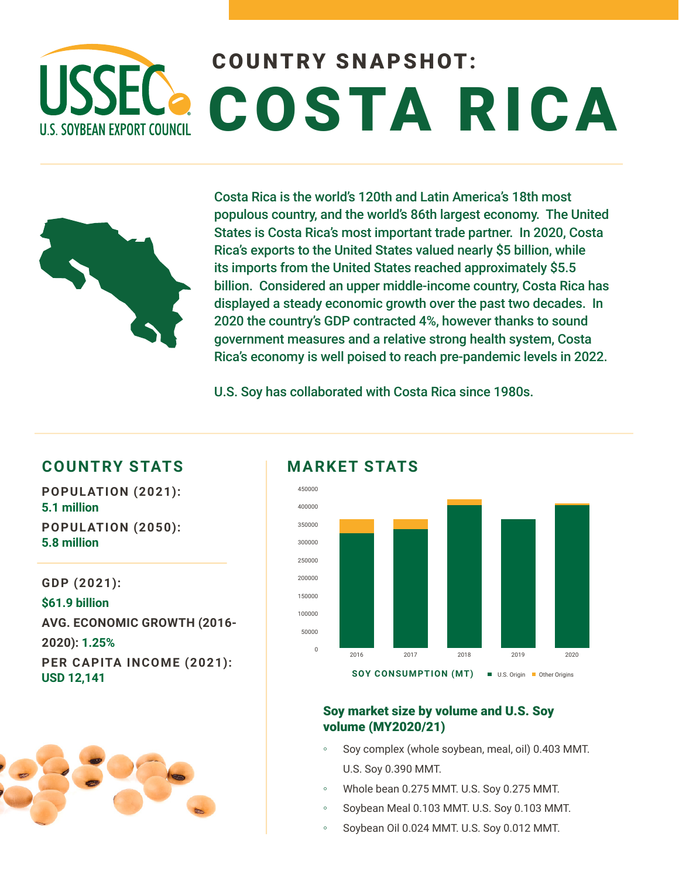# COUNTRY SNAPSHOT: USSEC COSTA RICA **U.S. SOYBEAN EXPORT COUNCIL**



Costa Rica is the world's 120th and Latin America's 18th most populous country, and the world's 86th largest economy. The United States is Costa Rica's most important trade partner. In 2020, Costa Rica's exports to the United States valued nearly \$5 billion, while its imports from the United States reached approximately \$5.5 billion. Considered an upper middle-income country, Costa Rica has displayed a steady economic growth over the past two decades. In 2020 the country's GDP contracted 4%, however thanks to sound government measures and a relative strong health system, Costa Rica's economy is well poised to reach pre-pandemic levels in 2022.

U.S. Soy has collaborated with Costa Rica since 1980s.

## **COUNTRY STATS MARKET STATS**

**POPULATION (2021): 5.1 million POPULATION (2050): 5.8 million** 

**GDP (2021): \$61.9 billion AVG. ECONOMIC GROWTH (2016- 2020): 1.25% PER CAPITA INCOME (2021): USD 12,141**





### Soy market size by volume and U.S. Soy volume (MY2020/21)

- Soy complex (whole soybean, meal, oil) 0.403 MMT. U.S. Soy 0.390 MMT.
- Whole bean 0.275 MMT. U.S. Soy 0.275 MMT.
- Soybean Meal 0.103 MMT. U.S. Soy 0.103 MMT.
- Soybean Oil 0.024 MMT. U.S. Soy 0.012 MMT.